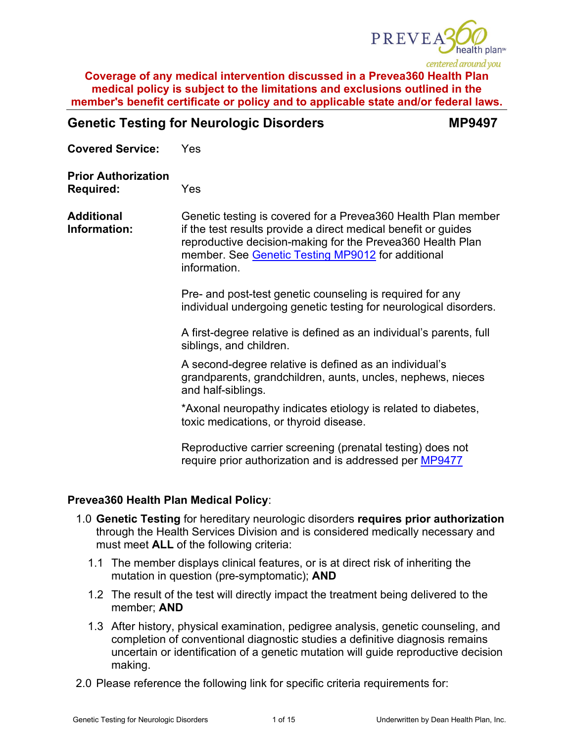

| <b>Genetic Testing for Neurologic Disorders</b> | <b>MP9497</b> |
|-------------------------------------------------|---------------|
|                                                 |               |

**Covered Service:** Yes

**Prior Authorization Required:** Yes

**Additional Information:** Genetic testing is covered for a Prevea360 Health Plan member if the test results provide a direct medical benefit or guides reproductive decision-making for the Prevea360 Health Plan member. See [Genetic Testing MP9012](https://www.prevea360.com/DocumentLibrary/PDF/Medical-Policies/Genetic-Testing-9012) for additional information.

> Pre- and post-test genetic counseling is required for any individual undergoing genetic testing for neurological disorders.

A first-degree relative is defined as an individual's parents, full siblings, and children.

A second-degree relative is defined as an individual's grandparents, grandchildren, aunts, uncles, nephews, nieces and half-siblings.

\*Axonal neuropathy indicates etiology is related to diabetes, toxic medications, or thyroid disease.

Reproductive carrier screening (prenatal testing) does not require prior authorization and is addressed per [MP9477](https://www.prevea360.com/DocumentLibrary/PDF/Medical-Policies/Genetic-Testing-for-Reproductive-Carrier-Screening)

## **Prevea360 Health Plan Medical Policy**:

- 1.0 **Genetic Testing** for hereditary neurologic disorders **requires prior authorization** through the Health Services Division and is considered medically necessary and must meet **ALL** of the following criteria:
	- 1.1 The member displays clinical features, or is at direct risk of inheriting the mutation in question (pre-symptomatic); **AND**
	- 1.2 The result of the test will directly impact the treatment being delivered to the member; **AND**
	- 1.3 After history, physical examination, pedigree analysis, genetic counseling, and completion of conventional diagnostic studies a definitive diagnosis remains uncertain or identification of a genetic mutation will guide reproductive decision making.
- 2.0 Please reference the following link for specific criteria requirements for: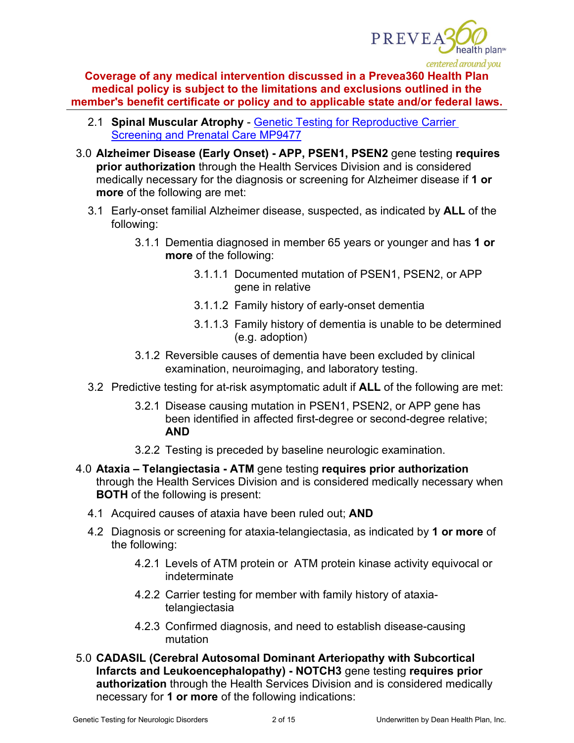

- 2.1 **Spinal Muscular Atrophy** [Genetic Testing for Reproductive Carrier](https://www.prevea360.com/DocumentLibrary/PDF/Medical-Policies/Genetic-Testing-for-Reproductive-Carrier-Screening)  [Screening and Prenatal Care MP9477](https://www.prevea360.com/DocumentLibrary/PDF/Medical-Policies/Genetic-Testing-for-Reproductive-Carrier-Screening)
- 3.0 **Alzheimer Disease (Early Onset) - APP, PSEN1, PSEN2** gene testing **requires prior authorization** through the Health Services Division and is considered medically necessary for the diagnosis or screening for Alzheimer disease if **1 or more** of the following are met:
	- 3.1 Early-onset familial Alzheimer disease, suspected, as indicated by **ALL** of the following:
		- 3.1.1 Dementia diagnosed in member 65 years or younger and has **1 or more** of the following:
			- 3.1.1.1 Documented mutation of PSEN1, PSEN2, or APP gene in relative
			- 3.1.1.2 Family history of early-onset dementia
			- 3.1.1.3 Family history of dementia is unable to be determined (e.g. adoption)
		- 3.1.2 Reversible causes of dementia have been excluded by clinical examination, neuroimaging, and laboratory testing.
	- 3.2 Predictive testing for at-risk asymptomatic adult if **ALL** of the following are met:
		- 3.2.1 Disease causing mutation in PSEN1, PSEN2, or APP gene has been identified in affected first-degree or second-degree relative; **AND**
		- 3.2.2 Testing is preceded by baseline neurologic examination.
- 4.0 **Ataxia – Telangiectasia - ATM** gene testing **requires prior authorization** through the Health Services Division and is considered medically necessary when **BOTH** of the following is present:
	- 4.1 Acquired causes of ataxia have been ruled out; **AND**
	- 4.2 Diagnosis or screening for ataxia-telangiectasia, as indicated by **1 or more** of the following:
		- 4.2.1 Levels of ATM protein or ATM protein kinase activity equivocal or indeterminate
		- 4.2.2 Carrier testing for member with family history of ataxiatelangiectasia
		- 4.2.3 Confirmed diagnosis, and need to establish disease-causing mutation
- 5.0 **CADASIL (Cerebral Autosomal Dominant Arteriopathy with Subcortical Infarcts and Leukoencephalopathy) - NOTCH3** gene testing **requires prior authorization** through the Health Services Division and is considered medically necessary for **1 or more** of the following indications: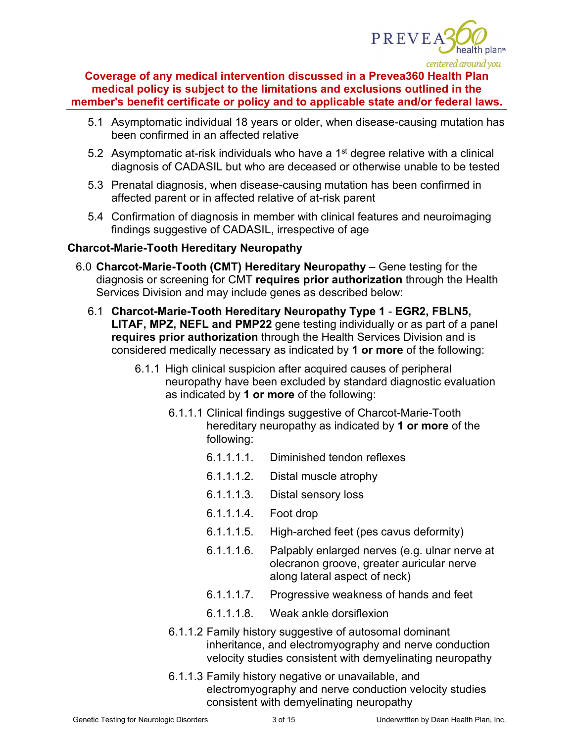

- 5.1 Asymptomatic individual 18 years or older, when disease-causing mutation has been confirmed in an affected relative
- 5.2 Asymptomatic at-risk individuals who have a  $1<sup>st</sup>$  degree relative with a clinical diagnosis of CADASIL but who are deceased or otherwise unable to be tested
- 5.3 Prenatal diagnosis, when disease-causing mutation has been confirmed in affected parent or in affected relative of at-risk parent
- 5.4 Confirmation of diagnosis in member with clinical features and neuroimaging findings suggestive of CADASIL, irrespective of age

## **Charcot-Marie-Tooth Hereditary Neuropathy**

- 6.0 **Charcot-Marie-Tooth (CMT) Hereditary Neuropathy** Gene testing for the diagnosis or screening for CMT **requires prior authorization** through the Health Services Division and may include genes as described below:
	- 6.1 **Charcot-Marie-Tooth Hereditary Neuropathy Type 1 EGR2, FBLN5, LITAF, MPZ, NEFL and PMP22** gene testing individually or as part of a panel **requires prior authorization** through the Health Services Division and is considered medically necessary as indicated by **1 or more** of the following:
		- 6.1.1 High clinical suspicion after acquired causes of peripheral neuropathy have been excluded by standard diagnostic evaluation as indicated by **1 or more** of the following:
			- 6.1.1.1 Clinical findings suggestive of Charcot-Marie-Tooth hereditary neuropathy as indicated by **1 or more** of the following:
				- 6.1.1.1.1. Diminished tendon reflexes
				- 6.1.1.1.2. Distal muscle atrophy
				- 6.1.1.1.3. Distal sensory loss
				- 6.1.1.1.4. Foot drop
				- 6.1.1.1.5. High-arched feet (pes cavus deformity)
				- 6.1.1.1.6. Palpably enlarged nerves (e.g. ulnar nerve at olecranon groove, greater auricular nerve along lateral aspect of neck)
				- 6.1.1.1.7. Progressive weakness of hands and feet
				- 6.1.1.1.8. Weak ankle dorsiflexion
			- 6.1.1.2 Family history suggestive of autosomal dominant inheritance, and electromyography and nerve conduction velocity studies consistent with demyelinating neuropathy
			- 6.1.1.3 Family history negative or unavailable, and electromyography and nerve conduction velocity studies consistent with demyelinating neuropathy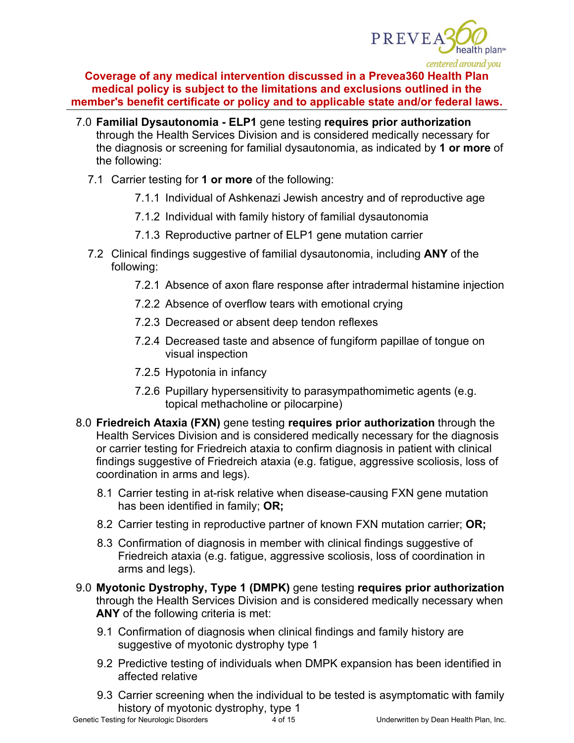

- 7.0 **Familial Dysautonomia - ELP1** gene testing **requires prior authorization** through the Health Services Division and is considered medically necessary for the diagnosis or screening for familial dysautonomia, as indicated by **1 or more** of the following:
	- 7.1 Carrier testing for **1 or more** of the following:
		- 7.1.1 Individual of Ashkenazi Jewish ancestry and of reproductive age
		- 7.1.2 Individual with family history of familial dysautonomia
		- 7.1.3 Reproductive partner of ELP1 gene mutation carrier
	- 7.2 Clinical findings suggestive of familial dysautonomia, including **ANY** of the following:
		- 7.2.1 Absence of axon flare response after intradermal histamine injection
		- 7.2.2 Absence of overflow tears with emotional crying
		- 7.2.3 Decreased or absent deep tendon reflexes
		- 7.2.4 Decreased taste and absence of fungiform papillae of tongue on visual inspection
		- 7.2.5 Hypotonia in infancy
		- 7.2.6 Pupillary hypersensitivity to parasympathomimetic agents (e.g. topical methacholine or pilocarpine)
- 8.0 **Friedreich Ataxia (FXN)** gene testing **requires prior authorization** through the Health Services Division and is considered medically necessary for the diagnosis or carrier testing for Friedreich ataxia to confirm diagnosis in patient with clinical findings suggestive of Friedreich ataxia (e.g. fatigue, aggressive scoliosis, loss of coordination in arms and legs).
	- 8.1 Carrier testing in at-risk relative when disease-causing FXN gene mutation has been identified in family; **OR;**
	- 8.2 Carrier testing in reproductive partner of known FXN mutation carrier; **OR;**
	- 8.3 Confirmation of diagnosis in member with clinical findings suggestive of Friedreich ataxia (e.g. fatigue, aggressive scoliosis, loss of coordination in arms and legs).
- 9.0 **Myotonic Dystrophy, Type 1 (DMPK)** gene testing **requires prior authorization** through the Health Services Division and is considered medically necessary when **ANY** of the following criteria is met:
	- 9.1 Confirmation of diagnosis when clinical findings and family history are suggestive of myotonic dystrophy type 1
	- 9.2 Predictive testing of individuals when DMPK expansion has been identified in affected relative
	- 9.3 Carrier screening when the individual to be tested is asymptomatic with family history of myotonic dystrophy, type 1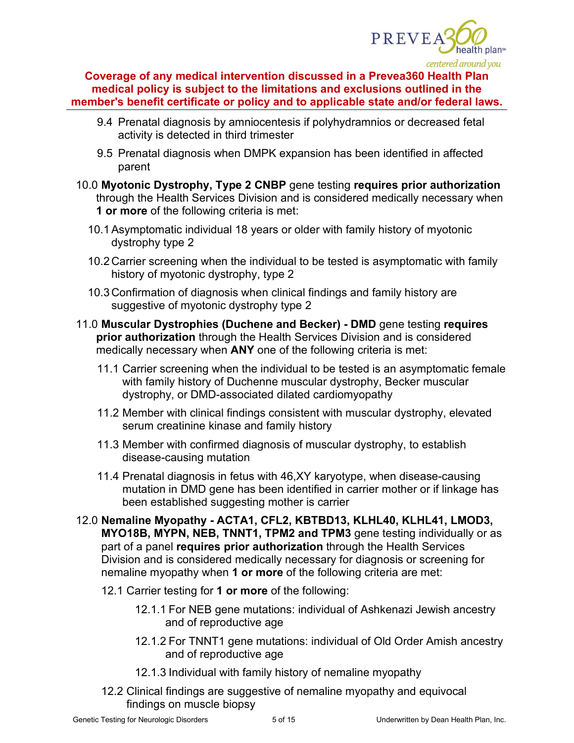

- 9.4 Prenatal diagnosis by amniocentesis if polyhydramnios or decreased fetal activity is detected in third trimester
- 9.5 Prenatal diagnosis when DMPK expansion has been identified in affected parent
- 10.0 **Myotonic Dystrophy, Type 2 CNBP** gene testing **requires prior authorization** through the Health Services Division and is considered medically necessary when **1 or more** of the following criteria is met:
	- 10.1Asymptomatic individual 18 years or older with family history of myotonic dystrophy type 2
	- 10.2Carrier screening when the individual to be tested is asymptomatic with family history of myotonic dystrophy, type 2
	- 10.3Confirmation of diagnosis when clinical findings and family history are suggestive of myotonic dystrophy type 2
- 11.0 **Muscular Dystrophies (Duchene and Becker) - DMD** gene testing **requires prior authorization** through the Health Services Division and is considered medically necessary when **ANY** one of the following criteria is met:
	- 11.1 Carrier screening when the individual to be tested is an asymptomatic female with family history of Duchenne muscular dystrophy, Becker muscular dystrophy, or DMD-associated dilated cardiomyopathy
	- 11.2 Member with clinical findings consistent with muscular dystrophy, elevated serum creatinine kinase and family history
	- 11.3 Member with confirmed diagnosis of muscular dystrophy, to establish disease-causing mutation
	- 11.4 Prenatal diagnosis in fetus with 46,XY karyotype, when disease-causing mutation in DMD gene has been identified in carrier mother or if linkage has been established suggesting mother is carrier
- 12.0 **Nemaline Myopathy - ACTA1, CFL2, KBTBD13, KLHL40, KLHL41, LMOD3, MYO18B, MYPN, NEB, TNNT1, TPM2 and TPM3** gene testing individually or as part of a panel **requires prior authorization** through the Health Services Division and is considered medically necessary for diagnosis or screening for nemaline myopathy when **1 or more** of the following criteria are met:
	- 12.1 Carrier testing for **1 or more** of the following:
		- 12.1.1 For NEB gene mutations: individual of Ashkenazi Jewish ancestry and of reproductive age
		- 12.1.2 For TNNT1 gene mutations: individual of Old Order Amish ancestry and of reproductive age
		- 12.1.3 Individual with family history of nemaline myopathy
	- 12.2 Clinical findings are suggestive of nemaline myopathy and equivocal findings on muscle biopsy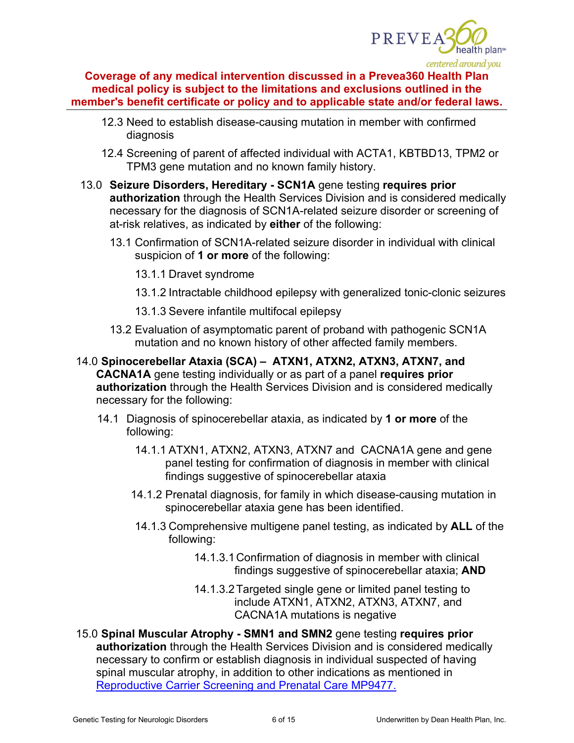

- 12.3 Need to establish disease-causing mutation in member with confirmed diagnosis
- 12.4 Screening of parent of affected individual with ACTA1, KBTBD13, TPM2 or TPM3 gene mutation and no known family history.
- 13.0 **Seizure Disorders, Hereditary - SCN1A** gene testing **requires prior authorization** through the Health Services Division and is considered medically necessary for the diagnosis of SCN1A-related seizure disorder or screening of at-risk relatives, as indicated by **either** of the following:
	- 13.1 Confirmation of SCN1A-related seizure disorder in individual with clinical suspicion of **1 or more** of the following:
		- 13.1.1 Dravet syndrome
		- 13.1.2 Intractable childhood epilepsy with generalized tonic-clonic seizures
		- 13.1.3 Severe infantile multifocal epilepsy
	- 13.2 Evaluation of asymptomatic parent of proband with pathogenic SCN1A mutation and no known history of other affected family members.
- 14.0 **Spinocerebellar Ataxia (SCA) ATXN1, ATXN2, ATXN3, ATXN7, and CACNA1A** gene testing individually or as part of a panel **requires prior authorization** through the Health Services Division and is considered medically necessary for the following:
	- 14.1 Diagnosis of spinocerebellar ataxia, as indicated by **1 or more** of the following:
		- 14.1.1 ATXN1, ATXN2, ATXN3, ATXN7 and CACNA1A gene and gene panel testing for confirmation of diagnosis in member with clinical findings suggestive of spinocerebellar ataxia
		- 14.1.2 Prenatal diagnosis, for family in which disease-causing mutation in spinocerebellar ataxia gene has been identified.
		- 14.1.3 Comprehensive multigene panel testing, as indicated by **ALL** of the following:
			- 14.1.3.1Confirmation of diagnosis in member with clinical findings suggestive of spinocerebellar ataxia; **AND**
			- 14.1.3.2Targeted single gene or limited panel testing to include ATXN1, ATXN2, ATXN3, ATXN7, and CACNA1A mutations is negative
- 15.0 **Spinal Muscular Atrophy - SMN1 and SMN2** gene testing **requires prior authorization** through the Health Services Division and is considered medically necessary to confirm or establish diagnosis in individual suspected of having spinal muscular atrophy, in addition to other indications as mentioned in [Reproductive Carrier Screening and Prenatal Care MP9477.](https://www.prevea360.com/DocumentLibrary/PDF/Medical-Policies/Genetic-Testing-for-Reproductive-Carrier-Screening)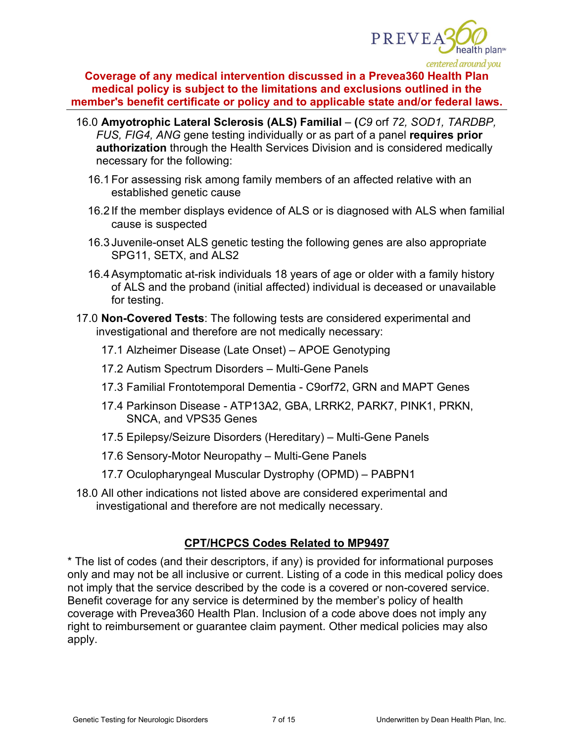

- 16.0 **Amyotrophic Lateral Sclerosis (ALS) Familial (***C9* orf *72, SOD1, TARDBP, FUS, FIG4, ANG* gene testing individually or as part of a panel **requires prior authorization** through the Health Services Division and is considered medically necessary for the following:
	- 16.1For assessing risk among family members of an affected relative with an established genetic cause
	- 16.2 If the member displays evidence of ALS or is diagnosed with ALS when familial cause is suspected
	- 16.3 Juvenile-onset ALS genetic testing the following genes are also appropriate SPG11, SETX, and ALS2
	- 16.4Asymptomatic at-risk individuals 18 years of age or older with a family history of ALS and the proband (initial affected) individual is deceased or unavailable for testing.
- 17.0 **Non-Covered Tests**: The following tests are considered experimental and investigational and therefore are not medically necessary:
	- 17.1 Alzheimer Disease (Late Onset) APOE Genotyping
	- 17.2 Autism Spectrum Disorders Multi-Gene Panels
	- 17.3 Familial Frontotemporal Dementia C9orf72, GRN and MAPT Genes
	- 17.4 Parkinson Disease ATP13A2, GBA, LRRK2, PARK7, PINK1, PRKN, SNCA, and VPS35 Genes
	- 17.5 Epilepsy/Seizure Disorders (Hereditary) Multi-Gene Panels
	- 17.6 Sensory-Motor Neuropathy Multi-Gene Panels
	- 17.7 Oculopharyngeal Muscular Dystrophy (OPMD) PABPN1
- 18.0 All other indications not listed above are considered experimental and investigational and therefore are not medically necessary.

## **CPT/HCPCS Codes Related to MP9497**

\* The list of codes (and their descriptors, if any) is provided for informational purposes only and may not be all inclusive or current. Listing of a code in this medical policy does not imply that the service described by the code is a covered or non-covered service. Benefit coverage for any service is determined by the member's policy of health coverage with Prevea360 Health Plan. Inclusion of a code above does not imply any right to reimbursement or guarantee claim payment. Other medical policies may also apply.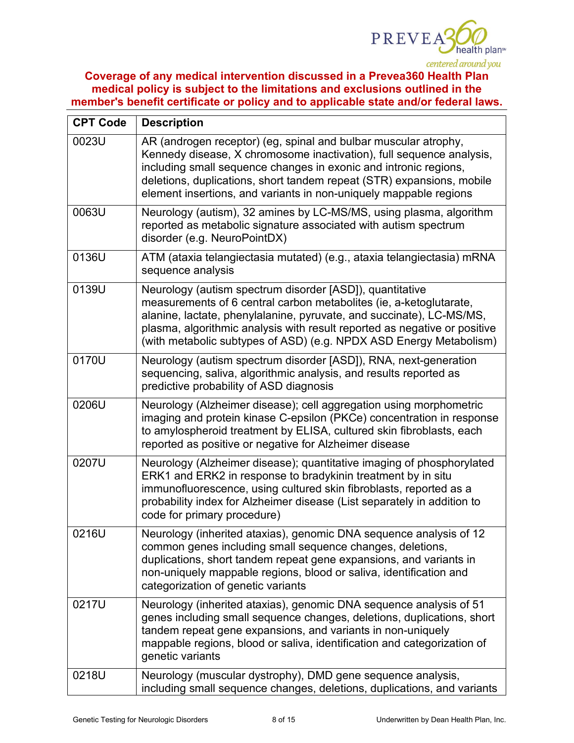

| <b>CPT Code</b> | <b>Description</b>                                                                                                                                                                                                                                                                                                                                        |
|-----------------|-----------------------------------------------------------------------------------------------------------------------------------------------------------------------------------------------------------------------------------------------------------------------------------------------------------------------------------------------------------|
| 0023U           | AR (androgen receptor) (eg, spinal and bulbar muscular atrophy,<br>Kennedy disease, X chromosome inactivation), full sequence analysis,<br>including small sequence changes in exonic and intronic regions,<br>deletions, duplications, short tandem repeat (STR) expansions, mobile<br>element insertions, and variants in non-uniquely mappable regions |
| 0063U           | Neurology (autism), 32 amines by LC-MS/MS, using plasma, algorithm<br>reported as metabolic signature associated with autism spectrum<br>disorder (e.g. NeuroPointDX)                                                                                                                                                                                     |
| 0136U           | ATM (ataxia telangiectasia mutated) (e.g., ataxia telangiectasia) mRNA<br>sequence analysis                                                                                                                                                                                                                                                               |
| 0139U           | Neurology (autism spectrum disorder [ASD]), quantitative<br>measurements of 6 central carbon metabolites (ie, a-ketoglutarate,<br>alanine, lactate, phenylalanine, pyruvate, and succinate), LC-MS/MS,<br>plasma, algorithmic analysis with result reported as negative or positive<br>(with metabolic subtypes of ASD) (e.g. NPDX ASD Energy Metabolism) |
| 0170U           | Neurology (autism spectrum disorder [ASD]), RNA, next-generation<br>sequencing, saliva, algorithmic analysis, and results reported as<br>predictive probability of ASD diagnosis                                                                                                                                                                          |
| 0206U           | Neurology (Alzheimer disease); cell aggregation using morphometric<br>imaging and protein kinase C-epsilon (PKCe) concentration in response<br>to amylospheroid treatment by ELISA, cultured skin fibroblasts, each<br>reported as positive or negative for Alzheimer disease                                                                             |
| 0207U           | Neurology (Alzheimer disease); quantitative imaging of phosphorylated<br>ERK1 and ERK2 in response to bradykinin treatment by in situ<br>immunofluorescence, using cultured skin fibroblasts, reported as a<br>probability index for Alzheimer disease (List separately in addition to<br>code for primary procedure)                                     |
| 0216U           | Neurology (inherited ataxias), genomic DNA sequence analysis of 12<br>common genes including small sequence changes, deletions,<br>duplications, short tandem repeat gene expansions, and variants in<br>non-uniquely mappable regions, blood or saliva, identification and<br>categorization of genetic variants                                         |
| 0217U           | Neurology (inherited ataxias), genomic DNA sequence analysis of 51<br>genes including small sequence changes, deletions, duplications, short<br>tandem repeat gene expansions, and variants in non-uniquely<br>mappable regions, blood or saliva, identification and categorization of<br>genetic variants                                                |
| 0218U           | Neurology (muscular dystrophy), DMD gene sequence analysis,<br>including small sequence changes, deletions, duplications, and variants                                                                                                                                                                                                                    |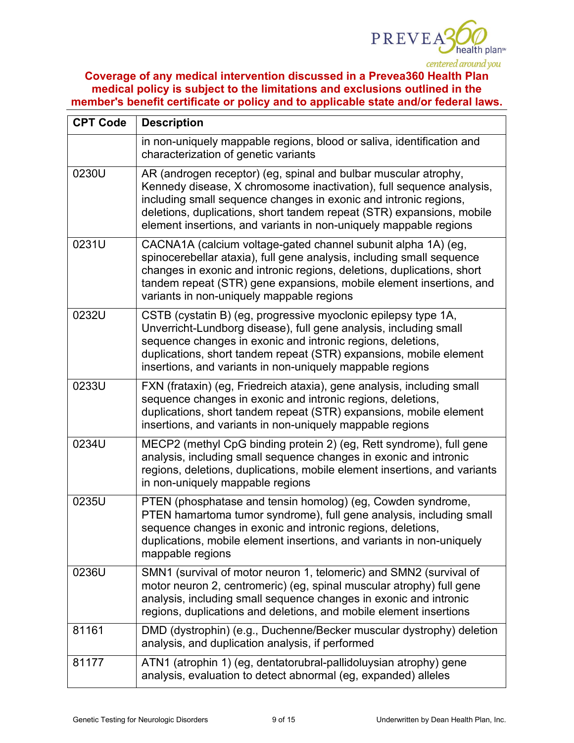

| <b>CPT Code</b> | <b>Description</b>                                                                                                                                                                                                                                                                                                                                        |
|-----------------|-----------------------------------------------------------------------------------------------------------------------------------------------------------------------------------------------------------------------------------------------------------------------------------------------------------------------------------------------------------|
|                 | in non-uniquely mappable regions, blood or saliva, identification and<br>characterization of genetic variants                                                                                                                                                                                                                                             |
| 0230U           | AR (androgen receptor) (eg, spinal and bulbar muscular atrophy,<br>Kennedy disease, X chromosome inactivation), full sequence analysis,<br>including small sequence changes in exonic and intronic regions,<br>deletions, duplications, short tandem repeat (STR) expansions, mobile<br>element insertions, and variants in non-uniquely mappable regions |
| 0231U           | CACNA1A (calcium voltage-gated channel subunit alpha 1A) (eg,<br>spinocerebellar ataxia), full gene analysis, including small sequence<br>changes in exonic and intronic regions, deletions, duplications, short<br>tandem repeat (STR) gene expansions, mobile element insertions, and<br>variants in non-uniquely mappable regions                      |
| 0232U           | CSTB (cystatin B) (eg, progressive myoclonic epilepsy type 1A,<br>Unverricht-Lundborg disease), full gene analysis, including small<br>sequence changes in exonic and intronic regions, deletions,<br>duplications, short tandem repeat (STR) expansions, mobile element<br>insertions, and variants in non-uniquely mappable regions                     |
| 0233U           | FXN (frataxin) (eg, Friedreich ataxia), gene analysis, including small<br>sequence changes in exonic and intronic regions, deletions,<br>duplications, short tandem repeat (STR) expansions, mobile element<br>insertions, and variants in non-uniquely mappable regions                                                                                  |
| 0234U           | MECP2 (methyl CpG binding protein 2) (eg, Rett syndrome), full gene<br>analysis, including small sequence changes in exonic and intronic<br>regions, deletions, duplications, mobile element insertions, and variants<br>in non-uniquely mappable regions                                                                                                 |
| 0235U           | PTEN (phosphatase and tensin homolog) (eg, Cowden syndrome,<br>PTEN hamartoma tumor syndrome), full gene analysis, including small<br>sequence changes in exonic and intronic regions, deletions,<br>duplications, mobile element insertions, and variants in non-uniquely<br>mappable regions                                                            |
| 0236U           | SMN1 (survival of motor neuron 1, telomeric) and SMN2 (survival of<br>motor neuron 2, centromeric) (eg, spinal muscular atrophy) full gene<br>analysis, including small sequence changes in exonic and intronic<br>regions, duplications and deletions, and mobile element insertions                                                                     |
| 81161           | DMD (dystrophin) (e.g., Duchenne/Becker muscular dystrophy) deletion<br>analysis, and duplication analysis, if performed                                                                                                                                                                                                                                  |
| 81177           | ATN1 (atrophin 1) (eg, dentatorubral-pallidoluysian atrophy) gene<br>analysis, evaluation to detect abnormal (eg, expanded) alleles                                                                                                                                                                                                                       |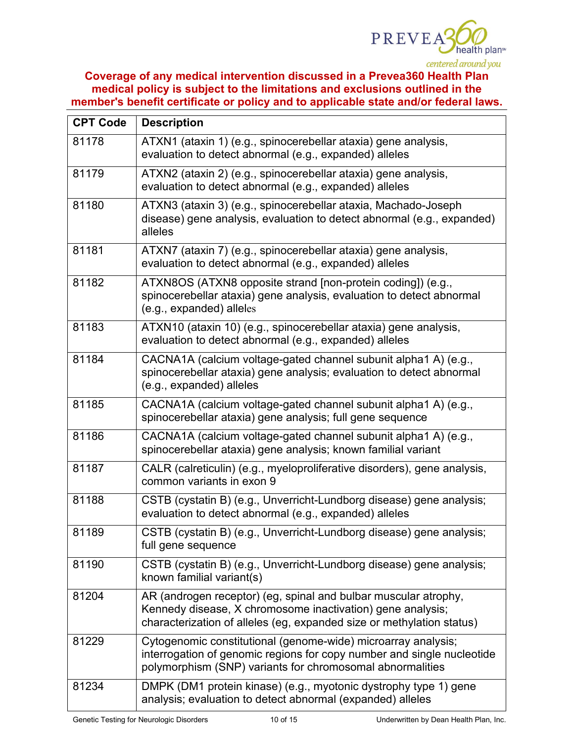

| <b>CPT Code</b> | <b>Description</b>                                                                                                                                                                                     |  |
|-----------------|--------------------------------------------------------------------------------------------------------------------------------------------------------------------------------------------------------|--|
| 81178           | ATXN1 (ataxin 1) (e.g., spinocerebellar ataxia) gene analysis,<br>evaluation to detect abnormal (e.g., expanded) alleles                                                                               |  |
| 81179           | ATXN2 (ataxin 2) (e.g., spinocerebellar ataxia) gene analysis,<br>evaluation to detect abnormal (e.g., expanded) alleles                                                                               |  |
| 81180           | ATXN3 (ataxin 3) (e.g., spinocerebellar ataxia, Machado-Joseph<br>disease) gene analysis, evaluation to detect abnormal (e.g., expanded)<br>alleles                                                    |  |
| 81181           | ATXN7 (ataxin 7) (e.g., spinocerebellar ataxia) gene analysis,<br>evaluation to detect abnormal (e.g., expanded) alleles                                                                               |  |
| 81182           | ATXN8OS (ATXN8 opposite strand [non-protein coding]) (e.g.,<br>spinocerebellar ataxia) gene analysis, evaluation to detect abnormal<br>(e.g., expanded) alleles                                        |  |
| 81183           | ATXN10 (ataxin 10) (e.g., spinocerebellar ataxia) gene analysis,<br>evaluation to detect abnormal (e.g., expanded) alleles                                                                             |  |
| 81184           | CACNA1A (calcium voltage-gated channel subunit alpha1 A) (e.g.,<br>spinocerebellar ataxia) gene analysis; evaluation to detect abnormal<br>(e.g., expanded) alleles                                    |  |
| 81185           | CACNA1A (calcium voltage-gated channel subunit alpha1 A) (e.g.,<br>spinocerebellar ataxia) gene analysis; full gene sequence                                                                           |  |
| 81186           | CACNA1A (calcium voltage-gated channel subunit alpha1 A) (e.g.,<br>spinocerebellar ataxia) gene analysis; known familial variant                                                                       |  |
| 81187           | CALR (calreticulin) (e.g., myeloproliferative disorders), gene analysis,<br>common variants in exon 9                                                                                                  |  |
| 81188           | CSTB (cystatin B) (e.g., Unverricht-Lundborg disease) gene analysis;<br>evaluation to detect abnormal (e.g., expanded) alleles                                                                         |  |
| 81189           | CSTB (cystatin B) (e.g., Unverricht-Lundborg disease) gene analysis;<br>full gene sequence                                                                                                             |  |
| 81190           | CSTB (cystatin B) (e.g., Unverricht-Lundborg disease) gene analysis;<br>known familial variant(s)                                                                                                      |  |
| 81204           | AR (androgen receptor) (eg, spinal and bulbar muscular atrophy,<br>Kennedy disease, X chromosome inactivation) gene analysis;<br>characterization of alleles (eg, expanded size or methylation status) |  |
| 81229           | Cytogenomic constitutional (genome-wide) microarray analysis;<br>interrogation of genomic regions for copy number and single nucleotide<br>polymorphism (SNP) variants for chromosomal abnormalities   |  |
| 81234           | DMPK (DM1 protein kinase) (e.g., myotonic dystrophy type 1) gene<br>analysis; evaluation to detect abnormal (expanded) alleles                                                                         |  |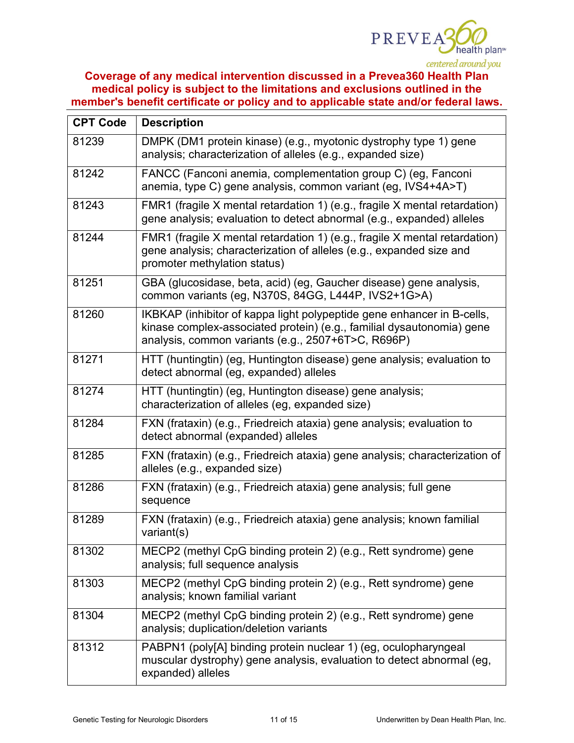

| <b>CPT Code</b> | <b>Description</b>                                                                                                                                                                                    |
|-----------------|-------------------------------------------------------------------------------------------------------------------------------------------------------------------------------------------------------|
| 81239           | DMPK (DM1 protein kinase) (e.g., myotonic dystrophy type 1) gene<br>analysis; characterization of alleles (e.g., expanded size)                                                                       |
| 81242           | FANCC (Fanconi anemia, complementation group C) (eg, Fanconi<br>anemia, type C) gene analysis, common variant (eg, IVS4+4A>T)                                                                         |
| 81243           | FMR1 (fragile X mental retardation 1) (e.g., fragile X mental retardation)<br>gene analysis; evaluation to detect abnormal (e.g., expanded) alleles                                                   |
| 81244           | FMR1 (fragile X mental retardation 1) (e.g., fragile X mental retardation)<br>gene analysis; characterization of alleles (e.g., expanded size and<br>promoter methylation status)                     |
| 81251           | GBA (glucosidase, beta, acid) (eg, Gaucher disease) gene analysis,<br>common variants (eg, N370S, 84GG, L444P, IVS2+1G>A)                                                                             |
| 81260           | IKBKAP (inhibitor of kappa light polypeptide gene enhancer in B-cells,<br>kinase complex-associated protein) (e.g., familial dysautonomia) gene<br>analysis, common variants (e.g., 2507+6T>C, R696P) |
| 81271           | HTT (huntingtin) (eg, Huntington disease) gene analysis; evaluation to<br>detect abnormal (eg, expanded) alleles                                                                                      |
| 81274           | HTT (huntingtin) (eg, Huntington disease) gene analysis;<br>characterization of alleles (eg, expanded size)                                                                                           |
| 81284           | FXN (frataxin) (e.g., Friedreich ataxia) gene analysis; evaluation to<br>detect abnormal (expanded) alleles                                                                                           |
| 81285           | FXN (frataxin) (e.g., Friedreich ataxia) gene analysis; characterization of<br>alleles (e.g., expanded size)                                                                                          |
| 81286           | FXN (frataxin) (e.g., Friedreich ataxia) gene analysis; full gene<br>sequence                                                                                                                         |
| 81289           | FXN (frataxin) (e.g., Friedreich ataxia) gene analysis; known familial<br>variant(s)                                                                                                                  |
| 81302           | MECP2 (methyl CpG binding protein 2) (e.g., Rett syndrome) gene<br>analysis; full sequence analysis                                                                                                   |
| 81303           | MECP2 (methyl CpG binding protein 2) (e.g., Rett syndrome) gene<br>analysis; known familial variant                                                                                                   |
| 81304           | MECP2 (methyl CpG binding protein 2) (e.g., Rett syndrome) gene<br>analysis; duplication/deletion variants                                                                                            |
| 81312           | PABPN1 (poly[A] binding protein nuclear 1) (eg, oculopharyngeal<br>muscular dystrophy) gene analysis, evaluation to detect abnormal (eg,<br>expanded) alleles                                         |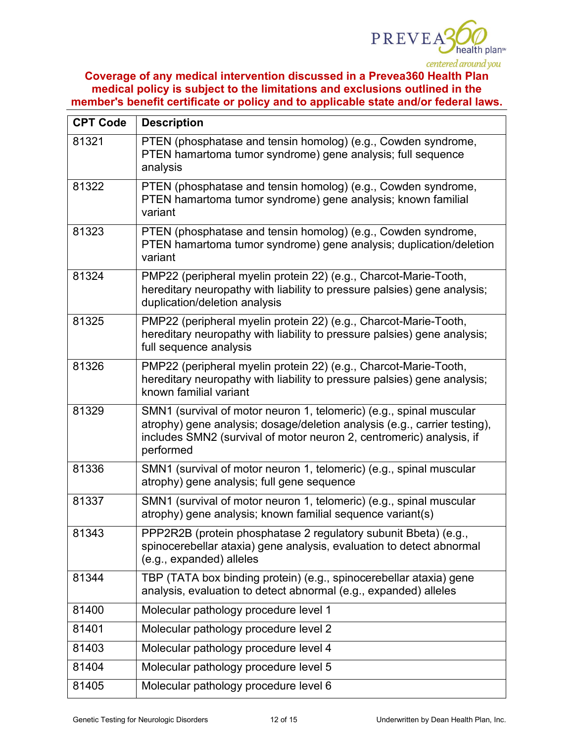

| <b>CPT Code</b> | <b>Description</b>                                                                                                                                                                                                                    |
|-----------------|---------------------------------------------------------------------------------------------------------------------------------------------------------------------------------------------------------------------------------------|
| 81321           | PTEN (phosphatase and tensin homolog) (e.g., Cowden syndrome,<br>PTEN hamartoma tumor syndrome) gene analysis; full sequence<br>analysis                                                                                              |
| 81322           | PTEN (phosphatase and tensin homolog) (e.g., Cowden syndrome,<br>PTEN hamartoma tumor syndrome) gene analysis; known familial<br>variant                                                                                              |
| 81323           | PTEN (phosphatase and tensin homolog) (e.g., Cowden syndrome,<br>PTEN hamartoma tumor syndrome) gene analysis; duplication/deletion<br>variant                                                                                        |
| 81324           | PMP22 (peripheral myelin protein 22) (e.g., Charcot-Marie-Tooth,<br>hereditary neuropathy with liability to pressure palsies) gene analysis;<br>duplication/deletion analysis                                                         |
| 81325           | PMP22 (peripheral myelin protein 22) (e.g., Charcot-Marie-Tooth,<br>hereditary neuropathy with liability to pressure palsies) gene analysis;<br>full sequence analysis                                                                |
| 81326           | PMP22 (peripheral myelin protein 22) (e.g., Charcot-Marie-Tooth,<br>hereditary neuropathy with liability to pressure palsies) gene analysis;<br>known familial variant                                                                |
| 81329           | SMN1 (survival of motor neuron 1, telomeric) (e.g., spinal muscular<br>atrophy) gene analysis; dosage/deletion analysis (e.g., carrier testing),<br>includes SMN2 (survival of motor neuron 2, centromeric) analysis, if<br>performed |
| 81336           | SMN1 (survival of motor neuron 1, telomeric) (e.g., spinal muscular<br>atrophy) gene analysis; full gene sequence                                                                                                                     |
| 81337           | SMN1 (survival of motor neuron 1, telomeric) (e.g., spinal muscular<br>atrophy) gene analysis; known familial sequence variant(s)                                                                                                     |
| 81343           | PPP2R2B (protein phosphatase 2 regulatory subunit Bbeta) (e.g.,<br>spinocerebellar ataxia) gene analysis, evaluation to detect abnormal<br>(e.g., expanded) alleles                                                                   |
| 81344           | TBP (TATA box binding protein) (e.g., spinocerebellar ataxia) gene<br>analysis, evaluation to detect abnormal (e.g., expanded) alleles                                                                                                |
| 81400           | Molecular pathology procedure level 1                                                                                                                                                                                                 |
| 81401           | Molecular pathology procedure level 2                                                                                                                                                                                                 |
| 81403           | Molecular pathology procedure level 4                                                                                                                                                                                                 |
| 81404           | Molecular pathology procedure level 5                                                                                                                                                                                                 |
| 81405           | Molecular pathology procedure level 6                                                                                                                                                                                                 |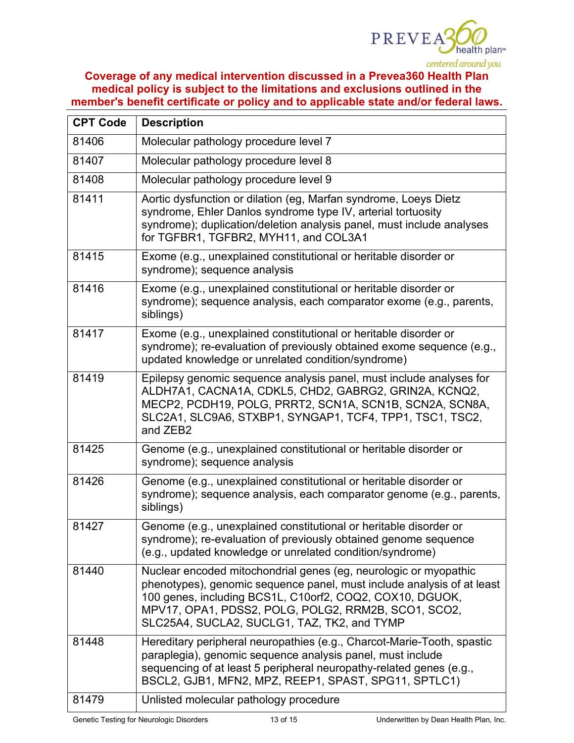

| <b>CPT Code</b> | <b>Description</b>                                                                                                                                                                                                                                                                                           |
|-----------------|--------------------------------------------------------------------------------------------------------------------------------------------------------------------------------------------------------------------------------------------------------------------------------------------------------------|
| 81406           | Molecular pathology procedure level 7                                                                                                                                                                                                                                                                        |
| 81407           | Molecular pathology procedure level 8                                                                                                                                                                                                                                                                        |
| 81408           | Molecular pathology procedure level 9                                                                                                                                                                                                                                                                        |
| 81411           | Aortic dysfunction or dilation (eg, Marfan syndrome, Loeys Dietz<br>syndrome, Ehler Danlos syndrome type IV, arterial tortuosity<br>syndrome); duplication/deletion analysis panel, must include analyses<br>for TGFBR1, TGFBR2, MYH11, and COL3A1                                                           |
| 81415           | Exome (e.g., unexplained constitutional or heritable disorder or<br>syndrome); sequence analysis                                                                                                                                                                                                             |
| 81416           | Exome (e.g., unexplained constitutional or heritable disorder or<br>syndrome); sequence analysis, each comparator exome (e.g., parents,<br>siblings)                                                                                                                                                         |
| 81417           | Exome (e.g., unexplained constitutional or heritable disorder or<br>syndrome); re-evaluation of previously obtained exome sequence (e.g.,<br>updated knowledge or unrelated condition/syndrome)                                                                                                              |
| 81419           | Epilepsy genomic sequence analysis panel, must include analyses for<br>ALDH7A1, CACNA1A, CDKL5, CHD2, GABRG2, GRIN2A, KCNQ2,<br>MECP2, PCDH19, POLG, PRRT2, SCN1A, SCN1B, SCN2A, SCN8A,<br>SLC2A1, SLC9A6, STXBP1, SYNGAP1, TCF4, TPP1, TSC1, TSC2,<br>and ZEB2                                              |
| 81425           | Genome (e.g., unexplained constitutional or heritable disorder or<br>syndrome); sequence analysis                                                                                                                                                                                                            |
| 81426           | Genome (e.g., unexplained constitutional or heritable disorder or<br>syndrome); sequence analysis, each comparator genome (e.g., parents,<br>siblings)                                                                                                                                                       |
| 81427           | Genome (e.g., unexplained constitutional or heritable disorder or<br>syndrome); re-evaluation of previously obtained genome sequence<br>(e.g., updated knowledge or unrelated condition/syndrome)                                                                                                            |
| 81440           | Nuclear encoded mitochondrial genes (eg, neurologic or myopathic<br>phenotypes), genomic sequence panel, must include analysis of at least<br>100 genes, including BCS1L, C10orf2, COQ2, COX10, DGUOK,<br>MPV17, OPA1, PDSS2, POLG, POLG2, RRM2B, SCO1, SCO2,<br>SLC25A4, SUCLA2, SUCLG1, TAZ, TK2, and TYMP |
| 81448           | Hereditary peripheral neuropathies (e.g., Charcot-Marie-Tooth, spastic<br>paraplegia), genomic sequence analysis panel, must include<br>sequencing of at least 5 peripheral neuropathy-related genes (e.g.,<br>BSCL2, GJB1, MFN2, MPZ, REEP1, SPAST, SPG11, SPTLC1)                                          |
| 81479           | Unlisted molecular pathology procedure                                                                                                                                                                                                                                                                       |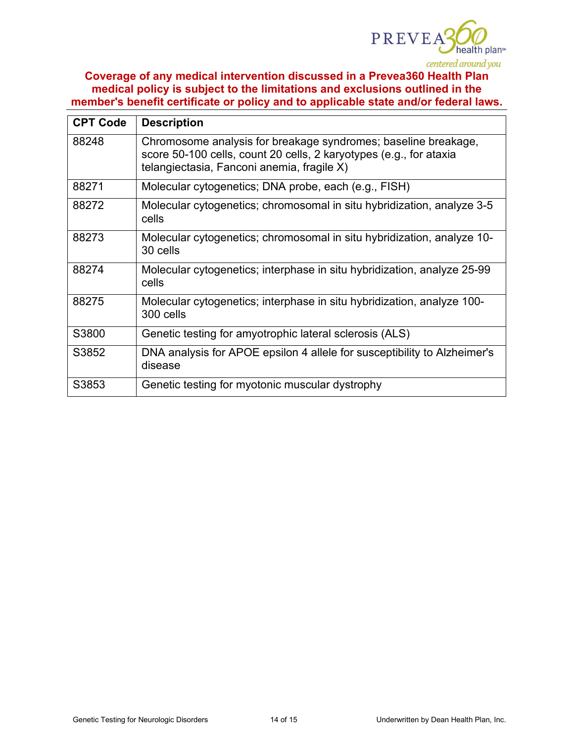

| <b>CPT Code</b> | <b>Description</b>                                                                                                                                                                 |
|-----------------|------------------------------------------------------------------------------------------------------------------------------------------------------------------------------------|
| 88248           | Chromosome analysis for breakage syndromes; baseline breakage,<br>score 50-100 cells, count 20 cells, 2 karyotypes (e.g., for ataxia<br>telangiectasia, Fanconi anemia, fragile X) |
| 88271           | Molecular cytogenetics; DNA probe, each (e.g., FISH)                                                                                                                               |
| 88272           | Molecular cytogenetics; chromosomal in situ hybridization, analyze 3-5<br>cells                                                                                                    |
| 88273           | Molecular cytogenetics; chromosomal in situ hybridization, analyze 10-<br>30 cells                                                                                                 |
| 88274           | Molecular cytogenetics; interphase in situ hybridization, analyze 25-99<br>cells                                                                                                   |
| 88275           | Molecular cytogenetics; interphase in situ hybridization, analyze 100-<br>300 cells                                                                                                |
| S3800           | Genetic testing for amyotrophic lateral sclerosis (ALS)                                                                                                                            |
| S3852           | DNA analysis for APOE epsilon 4 allele for susceptibility to Alzheimer's<br>disease                                                                                                |
| S3853           | Genetic testing for myotonic muscular dystrophy                                                                                                                                    |